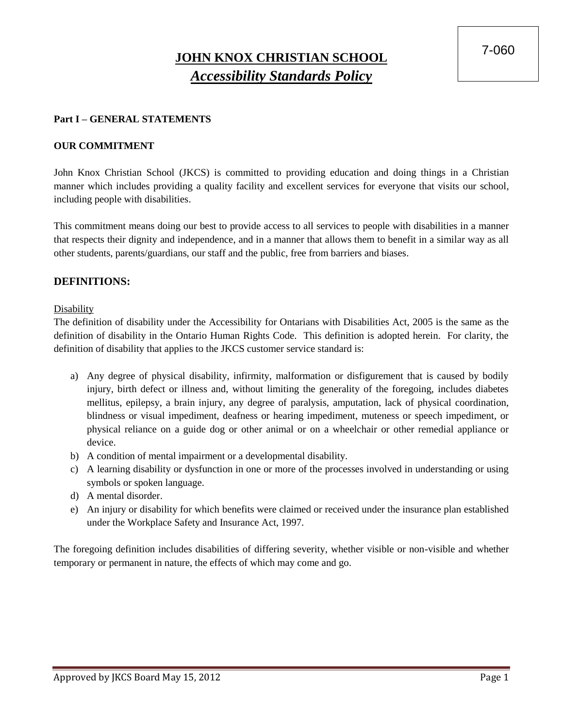7-060

# **JOHN KNOX CHRISTIAN SCHOOL** *Accessibility Standards Policy*

### **Part I – GENERAL STATEMENTS**

#### **OUR COMMITMENT**

John Knox Christian School (JKCS) is committed to providing education and doing things in a Christian manner which includes providing a quality facility and excellent services for everyone that visits our school, including people with disabilities.

This commitment means doing our best to provide access to all services to people with disabilities in a manner that respects their dignity and independence, and in a manner that allows them to benefit in a similar way as all other students, parents/guardians, our staff and the public, free from barriers and biases.

#### **DEFINITIONS:**

Disability

The definition of disability under the Accessibility for Ontarians with Disabilities Act, 2005 is the same as the definition of disability in the Ontario Human Rights Code. This definition is adopted herein. For clarity, the definition of disability that applies to the JKCS customer service standard is:

- a) Any degree of physical disability, infirmity, malformation or disfigurement that is caused by bodily injury, birth defect or illness and, without limiting the generality of the foregoing, includes diabetes mellitus, epilepsy, a brain injury, any degree of paralysis, amputation, lack of physical coordination, blindness or visual impediment, deafness or hearing impediment, muteness or speech impediment, or physical reliance on a guide dog or other animal or on a wheelchair or other remedial appliance or device.
- b) A condition of mental impairment or a developmental disability.
- c) A learning disability or dysfunction in one or more of the processes involved in understanding or using symbols or spoken language.
- d) A mental disorder.
- e) An injury or disability for which benefits were claimed or received under the insurance plan established under the Workplace Safety and Insurance Act, 1997.

The foregoing definition includes disabilities of differing severity, whether visible or non-visible and whether temporary or permanent in nature, the effects of which may come and go.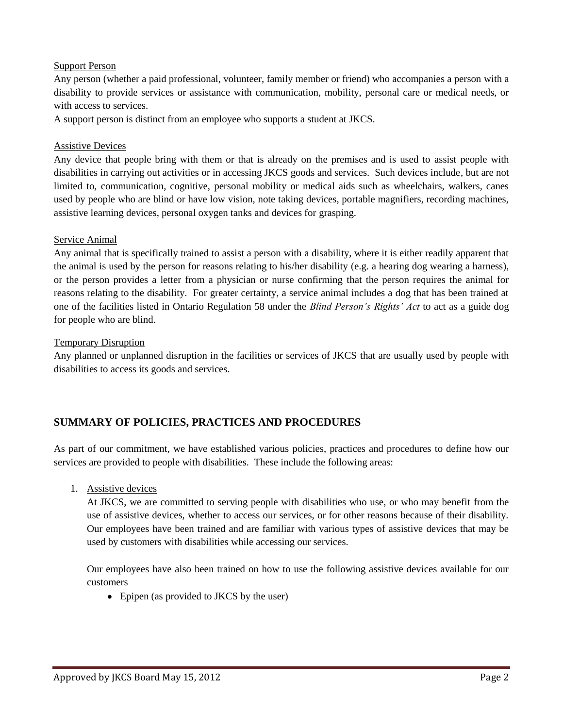#### Support Person

Any person (whether a paid professional, volunteer, family member or friend) who accompanies a person with a disability to provide services or assistance with communication, mobility, personal care or medical needs, or with access to services.

A support person is distinct from an employee who supports a student at JKCS.

### Assistive Devices

Any device that people bring with them or that is already on the premises and is used to assist people with disabilities in carrying out activities or in accessing JKCS goods and services. Such devices include, but are not limited to, communication, cognitive, personal mobility or medical aids such as wheelchairs, walkers, canes used by people who are blind or have low vision, note taking devices, portable magnifiers, recording machines, assistive learning devices, personal oxygen tanks and devices for grasping.

#### Service Animal

Any animal that is specifically trained to assist a person with a disability, where it is either readily apparent that the animal is used by the person for reasons relating to his/her disability (e.g. a hearing dog wearing a harness), or the person provides a letter from a physician or nurse confirming that the person requires the animal for reasons relating to the disability. For greater certainty, a service animal includes a dog that has been trained at one of the facilities listed in Ontario Regulation 58 under the *Blind Person's Rights' Act* to act as a guide dog for people who are blind.

#### Temporary Disruption

Any planned or unplanned disruption in the facilities or services of JKCS that are usually used by people with disabilities to access its goods and services.

# **SUMMARY OF POLICIES, PRACTICES AND PROCEDURES**

As part of our commitment, we have established various policies, practices and procedures to define how our services are provided to people with disabilities. These include the following areas:

1. Assistive devices

At JKCS, we are committed to serving people with disabilities who use, or who may benefit from the use of assistive devices, whether to access our services, or for other reasons because of their disability. Our employees have been trained and are familiar with various types of assistive devices that may be used by customers with disabilities while accessing our services.

Our employees have also been trained on how to use the following assistive devices available for our customers

• Epipen (as provided to JKCS by the user)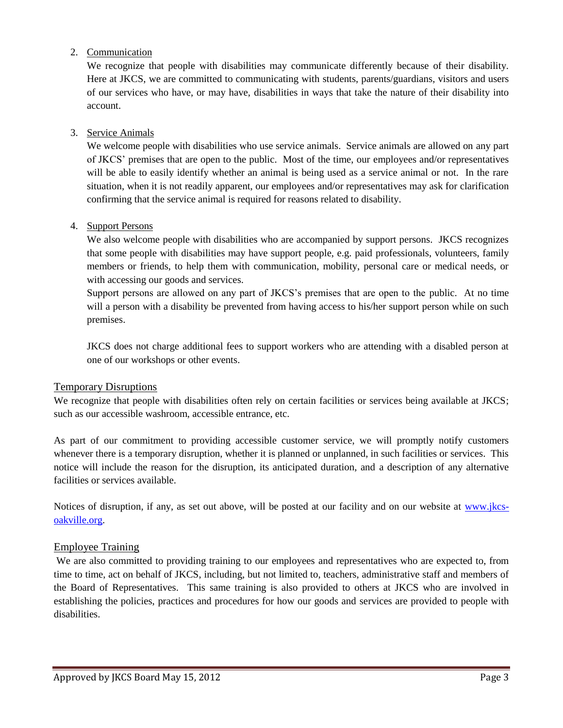# 2. Communication

We recognize that people with disabilities may communicate differently because of their disability. Here at JKCS, we are committed to communicating with students, parents/guardians, visitors and users of our services who have, or may have, disabilities in ways that take the nature of their disability into account.

# 3. Service Animals

We welcome people with disabilities who use service animals. Service animals are allowed on any part of JKCS' premises that are open to the public. Most of the time, our employees and/or representatives will be able to easily identify whether an animal is being used as a service animal or not. In the rare situation, when it is not readily apparent, our employees and/or representatives may ask for clarification confirming that the service animal is required for reasons related to disability.

# 4. Support Persons

We also welcome people with disabilities who are accompanied by support persons. JKCS recognizes that some people with disabilities may have support people, e.g. paid professionals, volunteers, family members or friends, to help them with communication, mobility, personal care or medical needs, or with accessing our goods and services.

Support persons are allowed on any part of JKCS's premises that are open to the public. At no time will a person with a disability be prevented from having access to his/her support person while on such premises.

JKCS does not charge additional fees to support workers who are attending with a disabled person at one of our workshops or other events.

# Temporary Disruptions

We recognize that people with disabilities often rely on certain facilities or services being available at JKCS; such as our accessible washroom, accessible entrance, etc.

As part of our commitment to providing accessible customer service, we will promptly notify customers whenever there is a temporary disruption, whether it is planned or unplanned, in such facilities or services. This notice will include the reason for the disruption, its anticipated duration, and a description of any alternative facilities or services available.

Notices of disruption, if any, as set out above, will be posted at our facility and on our website at [www.jkcs](http://www.jkcs-oakville.org/)[oakville.org.](http://www.jkcs-oakville.org/)

# Employee Training

We are also committed to providing training to our employees and representatives who are expected to, from time to time, act on behalf of JKCS, including, but not limited to, teachers, administrative staff and members of the Board of Representatives. This same training is also provided to others at JKCS who are involved in establishing the policies, practices and procedures for how our goods and services are provided to people with disabilities.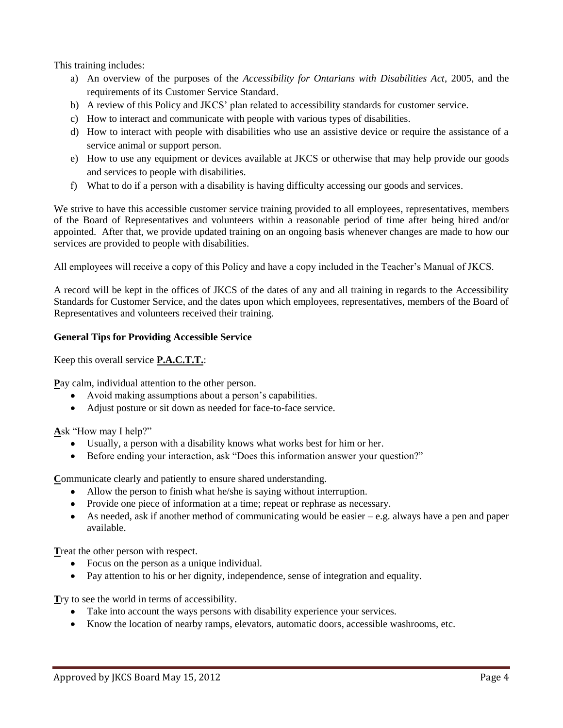This training includes:

- a) An overview of the purposes of the *Accessibility for Ontarians with Disabilities Act*, 2005, and the requirements of its Customer Service Standard.
- b) A review of this Policy and JKCS' plan related to accessibility standards for customer service.
- c) How to interact and communicate with people with various types of disabilities.
- d) How to interact with people with disabilities who use an assistive device or require the assistance of a service animal or support person.
- e) How to use any equipment or devices available at JKCS or otherwise that may help provide our goods and services to people with disabilities.
- f) What to do if a person with a disability is having difficulty accessing our goods and services.

We strive to have this accessible customer service training provided to all employees, representatives, members of the Board of Representatives and volunteers within a reasonable period of time after being hired and/or appointed. After that, we provide updated training on an ongoing basis whenever changes are made to how our services are provided to people with disabilities.

All employees will receive a copy of this Policy and have a copy included in the Teacher's Manual of JKCS.

A record will be kept in the offices of JKCS of the dates of any and all training in regards to the Accessibility Standards for Customer Service, and the dates upon which employees, representatives, members of the Board of Representatives and volunteers received their training.

#### **General Tips for Providing Accessible Service**

Keep this overall service **P.A.C.T.T.**:

**P**ay calm, individual attention to the other person.

- Avoid making assumptions about a person's capabilities.
- Adjust posture or sit down as needed for face-to-face service.

**A**sk "How may I help?"

- Usually, a person with a disability knows what works best for him or her.
- Before ending your interaction, ask "Does this information answer your question?"

**C**ommunicate clearly and patiently to ensure shared understanding.

- Allow the person to finish what he/she is saying without interruption.
- Provide one piece of information at a time; repeat or rephrase as necessary.
- $\bullet$ As needed, ask if another method of communicating would be easier – e.g. always have a pen and paper available.

**T**reat the other person with respect.

- Focus on the person as a unique individual.
- Pay attention to his or her dignity, independence, sense of integration and equality.

**T**ry to see the world in terms of accessibility.

- Take into account the ways persons with disability experience your services.
- Know the location of nearby ramps, elevators, automatic doors, accessible washrooms, etc.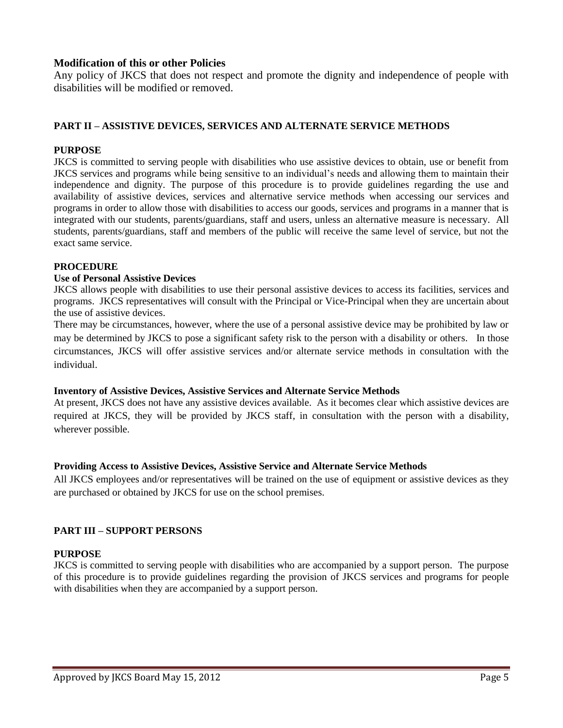# **Modification of this or other Policies**

Any policy of JKCS that does not respect and promote the dignity and independence of people with disabilities will be modified or removed.

#### **PART II – ASSISTIVE DEVICES, SERVICES AND ALTERNATE SERVICE METHODS**

#### **PURPOSE**

JKCS is committed to serving people with disabilities who use assistive devices to obtain, use or benefit from JKCS services and programs while being sensitive to an individual's needs and allowing them to maintain their independence and dignity. The purpose of this procedure is to provide guidelines regarding the use and availability of assistive devices, services and alternative service methods when accessing our services and programs in order to allow those with disabilities to access our goods, services and programs in a manner that is integrated with our students, parents/guardians, staff and users, unless an alternative measure is necessary. All students, parents/guardians, staff and members of the public will receive the same level of service, but not the exact same service.

#### **PROCEDURE**

#### **Use of Personal Assistive Devices**

JKCS allows people with disabilities to use their personal assistive devices to access its facilities, services and programs. JKCS representatives will consult with the Principal or Vice-Principal when they are uncertain about the use of assistive devices.

There may be circumstances, however, where the use of a personal assistive device may be prohibited by law or may be determined by JKCS to pose a significant safety risk to the person with a disability or others. In those circumstances, JKCS will offer assistive services and/or alternate service methods in consultation with the individual.

#### **Inventory of Assistive Devices, Assistive Services and Alternate Service Methods**

At present, JKCS does not have any assistive devices available. As it becomes clear which assistive devices are required at JKCS, they will be provided by JKCS staff, in consultation with the person with a disability, wherever possible.

#### **Providing Access to Assistive Devices, Assistive Service and Alternate Service Methods**

All JKCS employees and/or representatives will be trained on the use of equipment or assistive devices as they are purchased or obtained by JKCS for use on the school premises.

#### **PART III – SUPPORT PERSONS**

#### **PURPOSE**

JKCS is committed to serving people with disabilities who are accompanied by a support person. The purpose of this procedure is to provide guidelines regarding the provision of JKCS services and programs for people with disabilities when they are accompanied by a support person.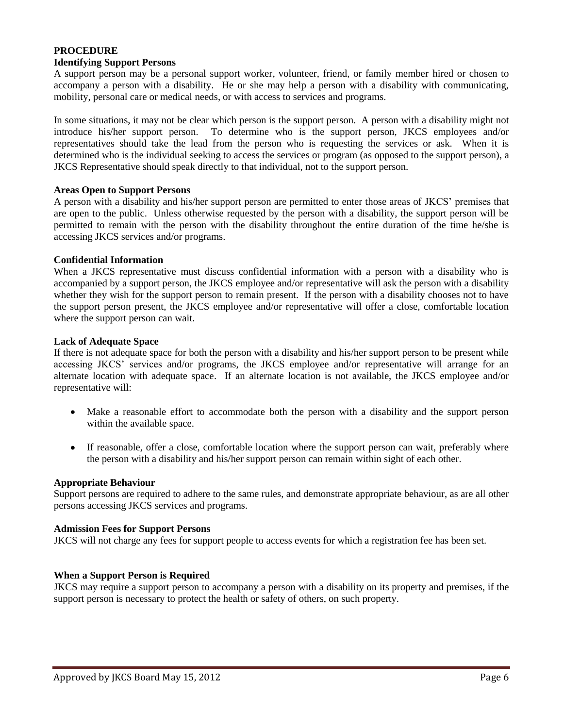#### **PROCEDURE Identifying Support Persons**

A support person may be a personal support worker, volunteer, friend, or family member hired or chosen to accompany a person with a disability. He or she may help a person with a disability with communicating, mobility, personal care or medical needs, or with access to services and programs.

In some situations, it may not be clear which person is the support person. A person with a disability might not introduce his/her support person. To determine who is the support person, JKCS employees and/or representatives should take the lead from the person who is requesting the services or ask. When it is determined who is the individual seeking to access the services or program (as opposed to the support person), a JKCS Representative should speak directly to that individual, not to the support person.

#### **Areas Open to Support Persons**

A person with a disability and his/her support person are permitted to enter those areas of JKCS' premises that are open to the public. Unless otherwise requested by the person with a disability, the support person will be permitted to remain with the person with the disability throughout the entire duration of the time he/she is accessing JKCS services and/or programs.

#### **Confidential Information**

When a JKCS representative must discuss confidential information with a person with a disability who is accompanied by a support person, the JKCS employee and/or representative will ask the person with a disability whether they wish for the support person to remain present. If the person with a disability chooses not to have the support person present, the JKCS employee and/or representative will offer a close, comfortable location where the support person can wait.

#### **Lack of Adequate Space**

If there is not adequate space for both the person with a disability and his/her support person to be present while accessing JKCS' services and/or programs, the JKCS employee and/or representative will arrange for an alternate location with adequate space. If an alternate location is not available, the JKCS employee and/or representative will:

- Make a reasonable effort to accommodate both the person with a disability and the support person  $\bullet$ within the available space.
- If reasonable, offer a close, comfortable location where the support person can wait, preferably where  $\bullet$ the person with a disability and his/her support person can remain within sight of each other.

#### **Appropriate Behaviour**

Support persons are required to adhere to the same rules, and demonstrate appropriate behaviour, as are all other persons accessing JKCS services and programs.

#### **Admission Fees for Support Persons**

JKCS will not charge any fees for support people to access events for which a registration fee has been set.

#### **When a Support Person is Required**

JKCS may require a support person to accompany a person with a disability on its property and premises, if the support person is necessary to protect the health or safety of others, on such property.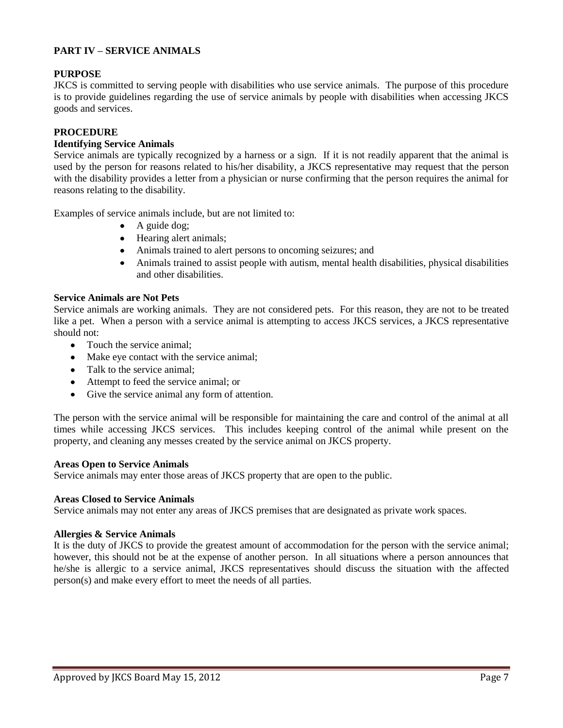# **PART IV – SERVICE ANIMALS**

#### **PURPOSE**

JKCS is committed to serving people with disabilities who use service animals. The purpose of this procedure is to provide guidelines regarding the use of service animals by people with disabilities when accessing JKCS goods and services.

#### **PROCEDURE**

#### **Identifying Service Animals**

Service animals are typically recognized by a harness or a sign. If it is not readily apparent that the animal is used by the person for reasons related to his/her disability, a JKCS representative may request that the person with the disability provides a letter from a physician or nurse confirming that the person requires the animal for reasons relating to the disability.

Examples of service animals include, but are not limited to:

- A guide dog;
- Hearing alert animals;
- Animals trained to alert persons to oncoming seizures; and
- Animals trained to assist people with autism, mental health disabilities, physical disabilities and other disabilities.

#### **Service Animals are Not Pets**

Service animals are working animals. They are not considered pets. For this reason, they are not to be treated like a pet. When a person with a service animal is attempting to access JKCS services, a JKCS representative should not:

- Touch the service animal:
- Make eye contact with the service animal;
- Talk to the service animal;
- Attempt to feed the service animal; or
- Give the service animal any form of attention.  $\bullet$

The person with the service animal will be responsible for maintaining the care and control of the animal at all times while accessing JKCS services. This includes keeping control of the animal while present on the property, and cleaning any messes created by the service animal on JKCS property.

#### **Areas Open to Service Animals**

Service animals may enter those areas of JKCS property that are open to the public.

#### **Areas Closed to Service Animals**

Service animals may not enter any areas of JKCS premises that are designated as private work spaces.

#### **Allergies & Service Animals**

It is the duty of JKCS to provide the greatest amount of accommodation for the person with the service animal; however, this should not be at the expense of another person. In all situations where a person announces that he/she is allergic to a service animal, JKCS representatives should discuss the situation with the affected person(s) and make every effort to meet the needs of all parties.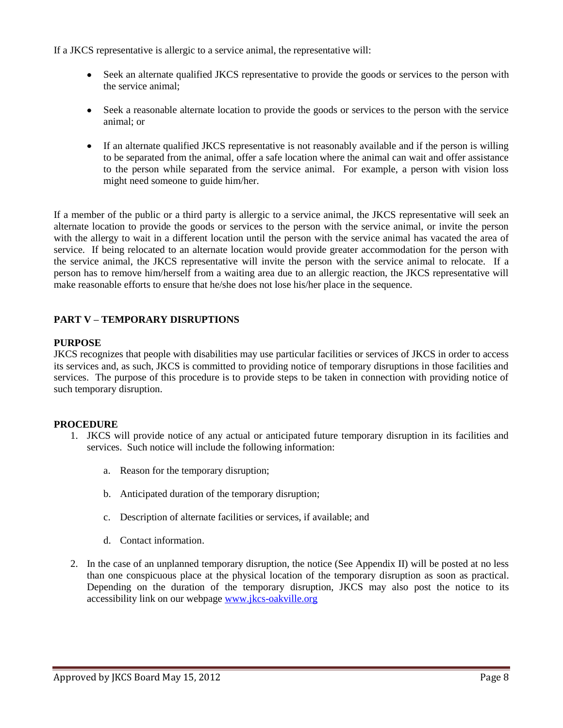If a JKCS representative is allergic to a service animal, the representative will:

- Seek an alternate qualified JKCS representative to provide the goods or services to the person with the service animal;
- Seek a reasonable alternate location to provide the goods or services to the person with the service animal; or
- $\bullet$ If an alternate qualified JKCS representative is not reasonably available and if the person is willing to be separated from the animal, offer a safe location where the animal can wait and offer assistance to the person while separated from the service animal. For example, a person with vision loss might need someone to guide him/her.

If a member of the public or a third party is allergic to a service animal, the JKCS representative will seek an alternate location to provide the goods or services to the person with the service animal, or invite the person with the allergy to wait in a different location until the person with the service animal has vacated the area of service. If being relocated to an alternate location would provide greater accommodation for the person with the service animal, the JKCS representative will invite the person with the service animal to relocate. If a person has to remove him/herself from a waiting area due to an allergic reaction, the JKCS representative will make reasonable efforts to ensure that he/she does not lose his/her place in the sequence.

# **PART V – TEMPORARY DISRUPTIONS**

#### **PURPOSE**

JKCS recognizes that people with disabilities may use particular facilities or services of JKCS in order to access its services and, as such, JKCS is committed to providing notice of temporary disruptions in those facilities and services. The purpose of this procedure is to provide steps to be taken in connection with providing notice of such temporary disruption.

#### **PROCEDURE**

- 1. JKCS will provide notice of any actual or anticipated future temporary disruption in its facilities and services. Such notice will include the following information:
	- a. Reason for the temporary disruption;
	- b. Anticipated duration of the temporary disruption;
	- c. Description of alternate facilities or services, if available; and
	- d. Contact information.
- 2. In the case of an unplanned temporary disruption, the notice (See Appendix II) will be posted at no less than one conspicuous place at the physical location of the temporary disruption as soon as practical. Depending on the duration of the temporary disruption, JKCS may also post the notice to its accessibility link on our webpage [www.jkcs-oakville.org](http://www.jkcs-oakville.org/)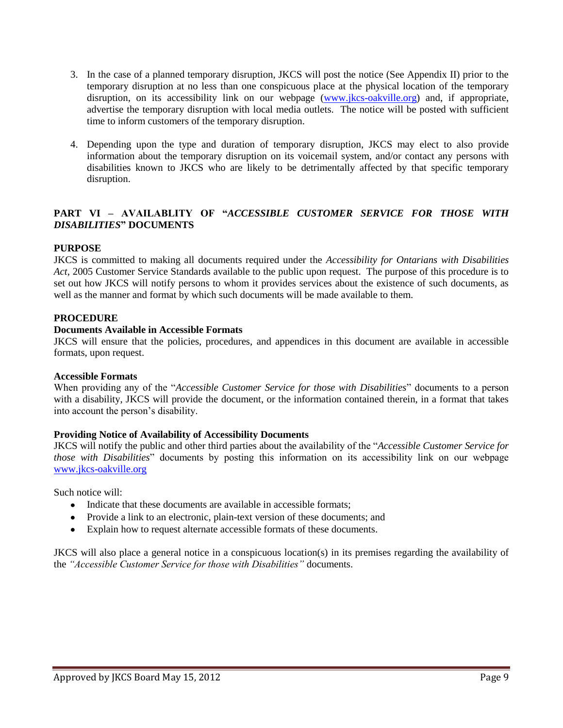- 3. In the case of a planned temporary disruption, JKCS will post the notice (See Appendix II) prior to the temporary disruption at no less than one conspicuous place at the physical location of the temporary disruption, on its accessibility link on our webpage [\(www.jkcs-oakville.org\)](http://www.jkcs-oakville.org/) and, if appropriate, advertise the temporary disruption with local media outlets. The notice will be posted with sufficient time to inform customers of the temporary disruption.
- 4. Depending upon the type and duration of temporary disruption, JKCS may elect to also provide information about the temporary disruption on its voicemail system, and/or contact any persons with disabilities known to JKCS who are likely to be detrimentally affected by that specific temporary disruption.

# **PART VI – AVAILABLITY OF "***ACCESSIBLE CUSTOMER SERVICE FOR THOSE WITH DISABILITIES***" DOCUMENTS**

#### **PURPOSE**

JKCS is committed to making all documents required under the *Accessibility for Ontarians with Disabilities Act*, 2005 Customer Service Standards available to the public upon request. The purpose of this procedure is to set out how JKCS will notify persons to whom it provides services about the existence of such documents, as well as the manner and format by which such documents will be made available to them.

#### **PROCEDURE**

#### **Documents Available in Accessible Formats**

JKCS will ensure that the policies, procedures, and appendices in this document are available in accessible formats, upon request.

#### **Accessible Formats**

When providing any of the "*Accessible Customer Service for those with Disabilities*" documents to a person with a disability, JKCS will provide the document, or the information contained therein, in a format that takes into account the person's disability.

#### **Providing Notice of Availability of Accessibility Documents**

JKCS will notify the public and other third parties about the availability of the "*Accessible Customer Service for those with Disabilities*" documents by posting this information on its accessibility link on our webpage [www.jkcs-oakville.org](http://www.jkcs-oakville.org/)

Such notice will:

- Indicate that these documents are available in accessible formats:
- Provide a link to an electronic, plain-text version of these documents; and
- Explain how to request alternate accessible formats of these documents.

JKCS will also place a general notice in a conspicuous location(s) in its premises regarding the availability of the *"Accessible Customer Service for those with Disabilities"* documents.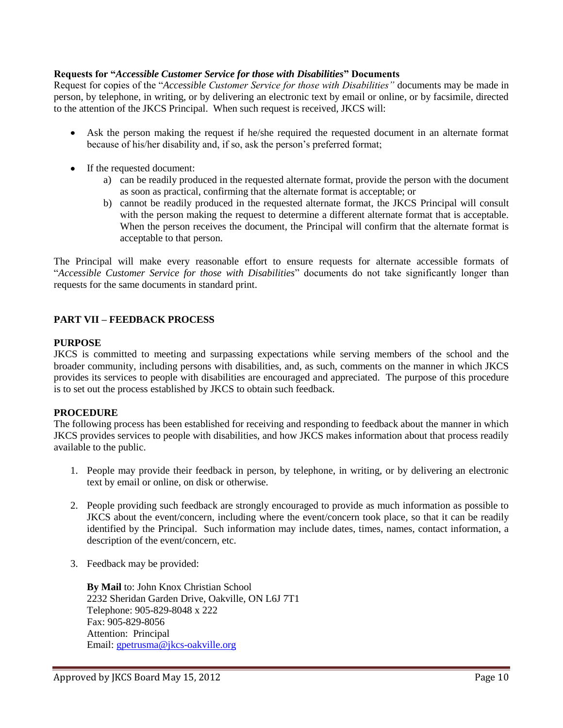#### **Requests for "***Accessible Customer Service for those with Disabilities***" Documents**

Request for copies of the "*Accessible Customer Service for those with Disabilities"* documents may be made in person, by telephone, in writing, or by delivering an electronic text by email or online, or by facsimile, directed to the attention of the JKCS Principal. When such request is received, JKCS will:

- Ask the person making the request if he/she required the requested document in an alternate format because of his/her disability and, if so, ask the person's preferred format;
- If the requested document:
	- a) can be readily produced in the requested alternate format, provide the person with the document as soon as practical, confirming that the alternate format is acceptable; or
	- b) cannot be readily produced in the requested alternate format, the JKCS Principal will consult with the person making the request to determine a different alternate format that is acceptable. When the person receives the document, the Principal will confirm that the alternate format is acceptable to that person.

The Principal will make every reasonable effort to ensure requests for alternate accessible formats of "*Accessible Customer Service for those with Disabilities*" documents do not take significantly longer than requests for the same documents in standard print.

#### **PART VII – FEEDBACK PROCESS**

#### **PURPOSE**

JKCS is committed to meeting and surpassing expectations while serving members of the school and the broader community, including persons with disabilities, and, as such, comments on the manner in which JKCS provides its services to people with disabilities are encouraged and appreciated. The purpose of this procedure is to set out the process established by JKCS to obtain such feedback.

# **PROCEDURE**

The following process has been established for receiving and responding to feedback about the manner in which JKCS provides services to people with disabilities, and how JKCS makes information about that process readily available to the public.

- 1. People may provide their feedback in person, by telephone, in writing, or by delivering an electronic text by email or online, on disk or otherwise.
- 2. People providing such feedback are strongly encouraged to provide as much information as possible to JKCS about the event/concern, including where the event/concern took place, so that it can be readily identified by the Principal. Such information may include dates, times, names, contact information, a description of the event/concern, etc.
- 3. Feedback may be provided:

**By Mail** to: John Knox Christian School 2232 Sheridan Garden Drive, Oakville, ON L6J 7T1 Telephone: 905-829-8048 x 222 Fax: 905-829-8056 Attention: Principal Email: [gpetrusma@jkcs-oakville.org](mailto:gpetrusma@jkcs-oakville.org)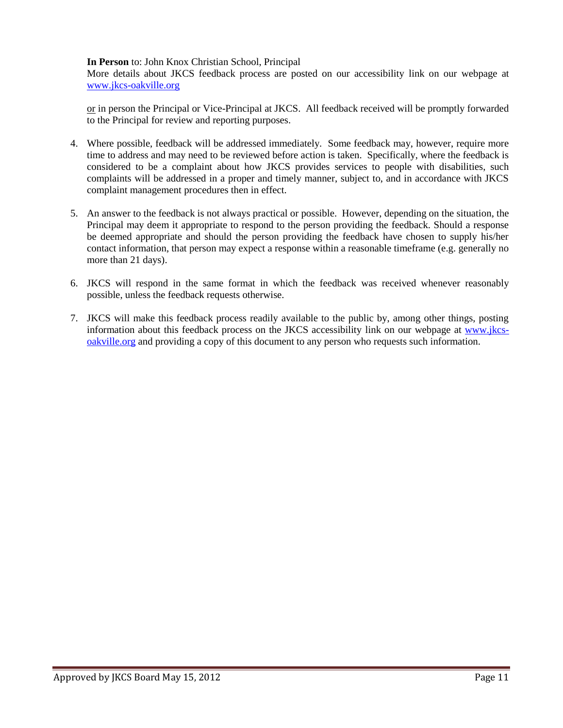#### **In Person** to: John Knox Christian School, Principal

More details about JKCS feedback process are posted on our accessibility link on our webpage at [www.jkcs-oakville.org](http://www.jkcs-oakville.org/)

or in person the Principal or Vice-Principal at JKCS. All feedback received will be promptly forwarded to the Principal for review and reporting purposes.

- 4. Where possible, feedback will be addressed immediately. Some feedback may, however, require more time to address and may need to be reviewed before action is taken. Specifically, where the feedback is considered to be a complaint about how JKCS provides services to people with disabilities, such complaints will be addressed in a proper and timely manner, subject to, and in accordance with JKCS complaint management procedures then in effect.
- 5. An answer to the feedback is not always practical or possible. However, depending on the situation, the Principal may deem it appropriate to respond to the person providing the feedback. Should a response be deemed appropriate and should the person providing the feedback have chosen to supply his/her contact information, that person may expect a response within a reasonable timeframe (e.g. generally no more than 21 days).
- 6. JKCS will respond in the same format in which the feedback was received whenever reasonably possible, unless the feedback requests otherwise.
- 7. JKCS will make this feedback process readily available to the public by, among other things, posting information about this feedback process on the JKCS accessibility link on our webpage at [www.jkcs](http://www.jkcs-oakville.org/)[oakville.org](http://www.jkcs-oakville.org/) and providing a copy of this document to any person who requests such information.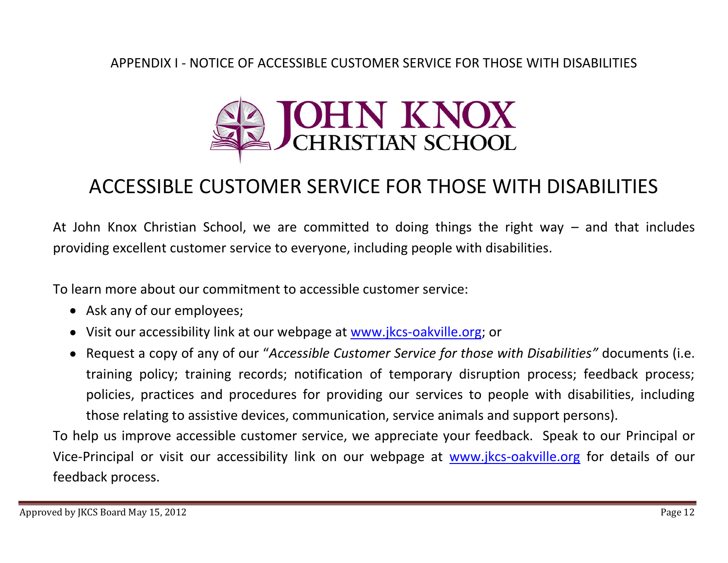# APPENDIX I - NOTICE OF ACCESSIBLE CUSTOMER SERVICE FOR THOSE WITH DISABILITIES



# ACCESSIBLE CUSTOMER SERVICE FOR THOSE WITH DISABILITIES

At John Knox Christian School, we are committed to doing things the right way – and that includes providing excellent customer service to everyone, including people with disabilities.

To learn more about our commitment to accessible customer service:

- Ask any of our employees;
- Visit our accessibility link at our webpage at [www.jkcs-oakville.org;](http://www.jkcs-oakville.org/) or
- Request a copy of any of our "*Accessible Customer Service for those with Disabilities"* documents (i.e. training policy; training records; notification of temporary disruption process; feedback process; policies, practices and procedures for providing our services to people with disabilities, including those relating to assistive devices, communication, service animals and support persons).

To help us improve accessible customer service, we appreciate your feedback. Speak to our Principal or Vice-Principal or visit our accessibility link on our webpage at [www.jkcs-oakville.org](http://www.jkcs-oakville.org/) for details of our feedback process.